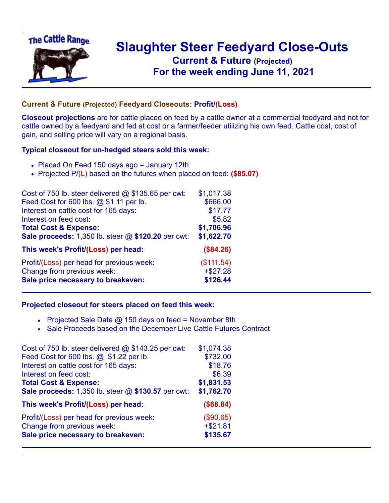

## **Slaughter Steer Feedyard Close-Outs Current & Future (Projected)** .**For the week ending June 11, 2021**

## **Current & Future (Projected) Feedyard Closeouts: Profit/(Loss)**

**Closeout projections** are for cattle placed on feed by a cattle owner at a commercial feedyard and not for cattle owned by a feedyard and fed at cost or a farmer/feeder utilizing his own feed. Cattle cost, cost of gain, and selling price will vary on a regional basis.

## **Typical closeout for un-hedged steers sold this week:**

- Placed On Feed 150 days ago = January 12th
- Projected P/(L) based on the futures when placed on feed: **(\$85.07)**

| Cost of 750 lb. steer delivered $@$ \$135.65 per cwt: | \$1,017.38 |
|-------------------------------------------------------|------------|
| Feed Cost for 600 lbs. @ \$1.11 per lb.               | \$666.00   |
| Interest on cattle cost for 165 days:                 | \$17.77    |
| Interest on feed cost:                                | \$5.82     |
| <b>Total Cost &amp; Expense:</b>                      | \$1,706.96 |
| Sale proceeds: 1,350 lb. steer @ \$120.20 per cwt:    | \$1,622.70 |
| This week's Profit/(Loss) per head:                   | (\$84.26)  |
| Profit/(Loss) per head for previous week:             | (\$111.54) |
| Change from previous week:                            | $+ $27.28$ |
| Sale price necessary to breakeven:                    | \$126.44   |

## **Projected closeout for steers placed on feed this week:**

- Projected Sale Date  $@$  150 days on feed = November 8th
- Sale Proceeds based on the December Live Cattle Futures Contract

| Cost of 750 lb. steer delivered $@$ \$143.25 per cwt: | \$1,074.38 |
|-------------------------------------------------------|------------|
| Feed Cost for 600 lbs. @ \$1.22 per lb.               | \$732.00   |
| Interest on cattle cost for 165 days:                 | \$18.76    |
| Interest on feed cost:                                | \$6.39     |
| <b>Total Cost &amp; Expense:</b>                      | \$1,831.53 |
| Sale proceeds: 1,350 lb. steer @ \$130.57 per cwt:    | \$1,762.70 |
| This week's Profit/(Loss) per head:                   | (\$68.84)  |
| Profit/(Loss) per head for previous week:             | (\$90.65)  |
| Change from previous week:                            | $+ $21.81$ |
| Sale price necessary to breakeven:                    | \$135.67   |